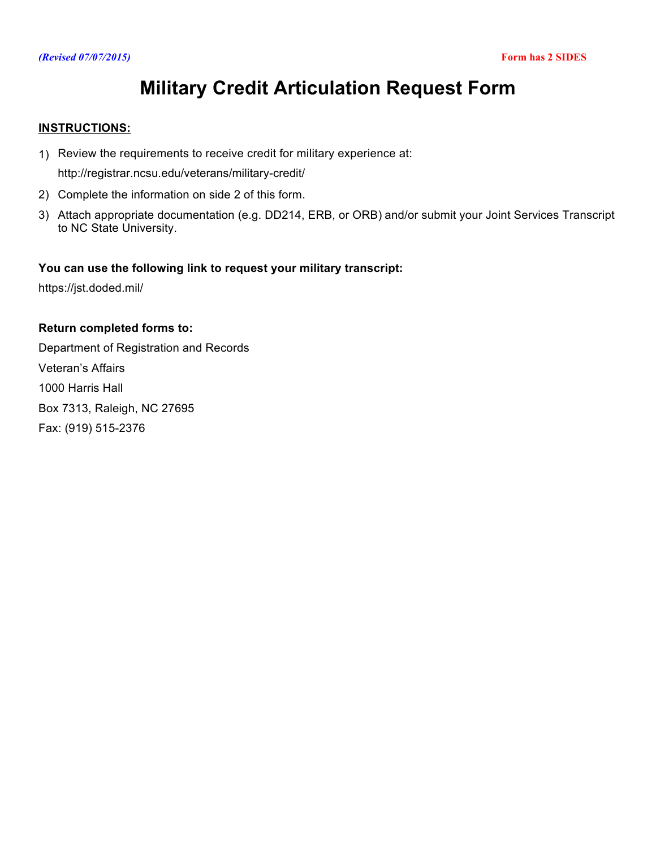## *(Revised 07/07/2015)* **Form has 2 SIDES**

# **Military Credit Articulation Request Form**

# **INSTRUCTIONS:**

1) Review the requirements to receive credit for military experience at:

<http://registrar.ncsu.edu/veterans/military-credit/>

- 2) Complete the information on side 2 of this form.
- 3) Attach appropriate documentation (e.g. DD214, ERB, or ORB) and/or submit your Joint Services Transcript to NC State University.

# **You can use the following link to request your military transcript:**

<https://jst.doded.mil/>

# **Return completed forms to:**

Department of Registration and Records Veteran's Affairs 1000 Harris Hall Box 7313, Raleigh, NC 27695 Fax: (919) 515-2376